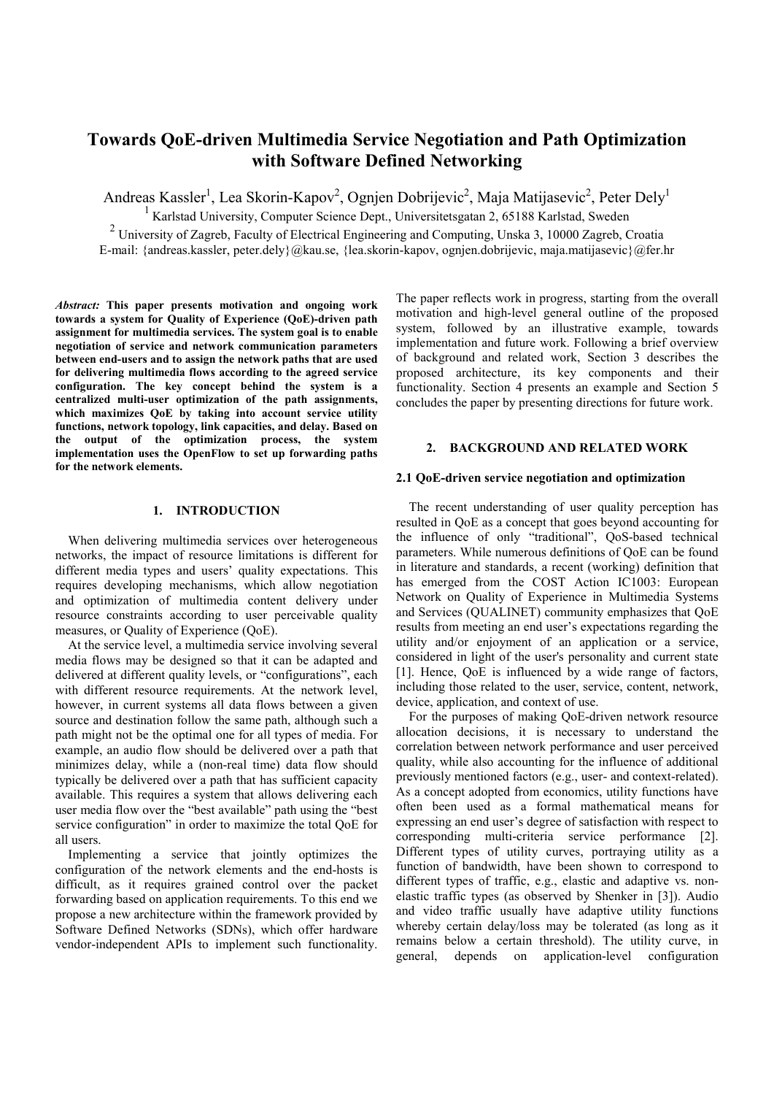# **Towards QoE-driven Multimedia Service Negotiation and Path Optimization with Software Defined Networking**

Andreas Kassler<sup>1</sup>, Lea Skorin-Kapov<sup>2</sup>, Ognjen Dobrijevic<sup>2</sup>, Maja Matijasevic<sup>2</sup>, Peter Dely<sup>1</sup>

<sup>1</sup> Karlstad University, Computer Science Dept., Universitetsgatan 2, 65188 Karlstad, Sweden

2 University of Zagreb, Faculty of Electrical Engineering and Computing, Unska 3, 10000 Zagreb, Croatia E-mail: {andreas.kassler, peter.dely}@kau.se, {lea.skorin-kapov, ognjen.dobrijevic, maja.matijasevic}@fer.hr

*Abstract:* **This paper presents motivation and ongoing work towards a system for Quality of Experience (QoE)-driven path assignment for multimedia services. The system goal is to enable negotiation of service and network communication parameters between end-users and to assign the network paths that are used for delivering multimedia flows according to the agreed service configuration. The key concept behind the system is a centralized multi-user optimization of the path assignments, which maximizes QoE by taking into account service utility functions, network topology, link capacities, and delay. Based on the output of the optimization process, the system implementation uses the OpenFlow to set up forwarding paths for the network elements.** 

## **1. INTRODUCTION**

When delivering multimedia services over heterogeneous networks, the impact of resource limitations is different for different media types and users' quality expectations. This requires developing mechanisms, which allow negotiation and optimization of multimedia content delivery under resource constraints according to user perceivable quality measures, or Quality of Experience (QoE).

At the service level, a multimedia service involving several media flows may be designed so that it can be adapted and delivered at different quality levels, or "configurations", each with different resource requirements. At the network level, however, in current systems all data flows between a given source and destination follow the same path, although such a path might not be the optimal one for all types of media. For example, an audio flow should be delivered over a path that minimizes delay, while a (non-real time) data flow should typically be delivered over a path that has sufficient capacity available. This requires a system that allows delivering each user media flow over the "best available" path using the "best service configuration" in order to maximize the total QoE for all users.

Implementing a service that jointly optimizes the configuration of the network elements and the end-hosts is difficult, as it requires grained control over the packet forwarding based on application requirements. To this end we propose a new architecture within the framework provided by Software Defined Networks (SDNs), which offer hardware vendor-independent APIs to implement such functionality.

The paper reflects work in progress, starting from the overall motivation and high-level general outline of the proposed system, followed by an illustrative example, towards implementation and future work. Following a brief overview of background and related work, Section 3 describes the proposed architecture, its key components and their functionality. Section 4 presents an example and Section 5 concludes the paper by presenting directions for future work.

# **2. BACKGROUND AND RELATED WORK**

#### **2.1 QoE-driven service negotiation and optimization**

The recent understanding of user quality perception has resulted in QoE as a concept that goes beyond accounting for the influence of only "traditional", QoS-based technical parameters. While numerous definitions of QoE can be found in literature and standards, a recent (working) definition that has emerged from the COST Action IC1003: European Network on Quality of Experience in Multimedia Systems and Services (QUALINET) community emphasizes that QoE results from meeting an end user's expectations regarding the utility and/or enjoyment of an application or a service, considered in light of the user's personality and current state [1]. Hence, QoE is influenced by a wide range of factors, including those related to the user, service, content, network, device, application, and context of use.

For the purposes of making QoE-driven network resource allocation decisions, it is necessary to understand the correlation between network performance and user perceived quality, while also accounting for the influence of additional previously mentioned factors (e.g., user- and context-related). As a concept adopted from economics, utility functions have often been used as a formal mathematical means for expressing an end user's degree of satisfaction with respect to corresponding multi-criteria service performance [2]. Different types of utility curves, portraying utility as a function of bandwidth, have been shown to correspond to different types of traffic, e.g., elastic and adaptive vs. nonelastic traffic types (as observed by Shenker in [3]). Audio and video traffic usually have adaptive utility functions whereby certain delay/loss may be tolerated (as long as it remains below a certain threshold). The utility curve, in general, depends on application-level configuration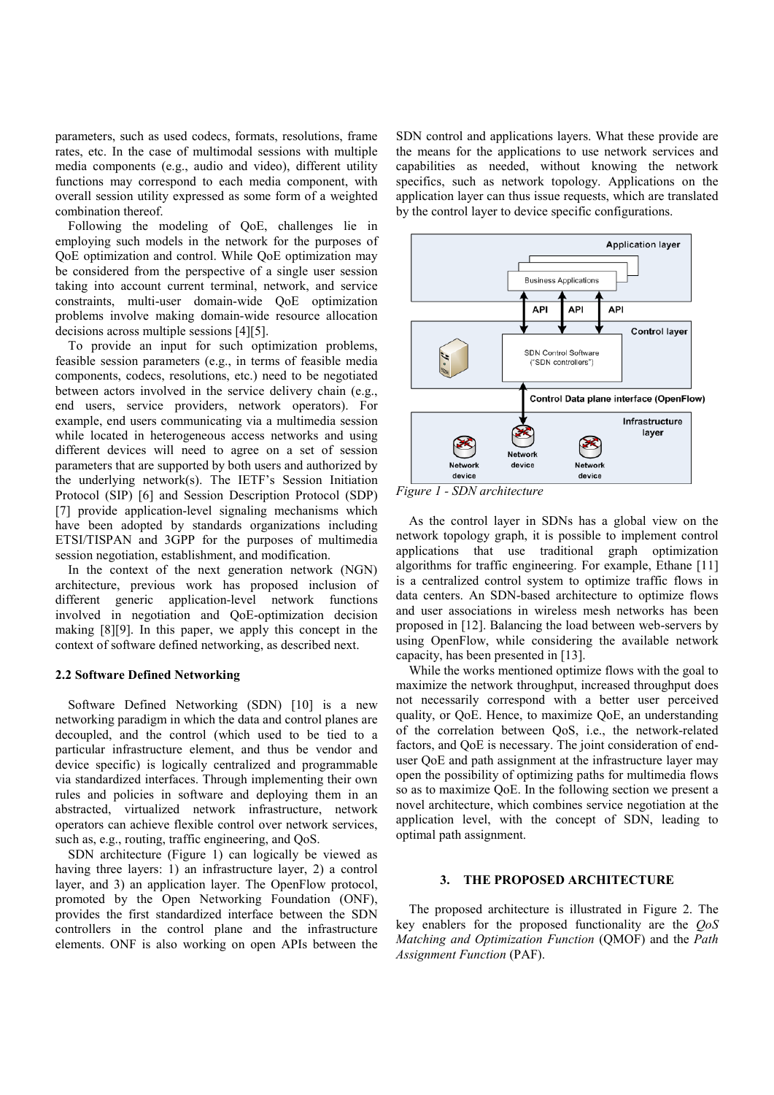parameters, such as used codecs, formats, resolutions, frame rates, etc. In the case of multimodal sessions with multiple media components (e.g., audio and video), different utility functions may correspond to each media component, with overall session utility expressed as some form of a weighted combination thereof.

Following the modeling of QoE, challenges lie in employing such models in the network for the purposes of QoE optimization and control. While QoE optimization may be considered from the perspective of a single user session taking into account current terminal, network, and service constraints, multi-user domain-wide QoE optimization problems involve making domain-wide resource allocation decisions across multiple sessions [4][5].

To provide an input for such optimization problems, feasible session parameters (e.g., in terms of feasible media components, codecs, resolutions, etc.) need to be negotiated between actors involved in the service delivery chain (e.g., end users, service providers, network operators). For example, end users communicating via a multimedia session while located in heterogeneous access networks and using different devices will need to agree on a set of session parameters that are supported by both users and authorized by the underlying network(s). The IETF's Session Initiation Protocol (SIP) [6] and Session Description Protocol (SDP) [7] provide application-level signaling mechanisms which have been adopted by standards organizations including ETSI/TISPAN and 3GPP for the purposes of multimedia session negotiation, establishment, and modification.

In the context of the next generation network (NGN) architecture, previous work has proposed inclusion of different generic application-level network functions involved in negotiation and QoE-optimization decision making [8][9]. In this paper, we apply this concept in the context of software defined networking, as described next.

#### **2.2 Software Defined Networking**

Software Defined Networking (SDN) [10] is a new networking paradigm in which the data and control planes are decoupled, and the control (which used to be tied to a particular infrastructure element, and thus be vendor and device specific) is logically centralized and programmable via standardized interfaces. Through implementing their own rules and policies in software and deploying them in an abstracted, virtualized network infrastructure, network operators can achieve flexible control over network services, such as, e.g., routing, traffic engineering, and QoS.

SDN architecture (Figure 1) can logically be viewed as having three layers: 1) an infrastructure layer, 2) a control layer, and 3) an application layer. The OpenFlow protocol, promoted by the Open Networking Foundation (ONF), provides the first standardized interface between the SDN controllers in the control plane and the infrastructure elements. ONF is also working on open APIs between the SDN control and applications layers. What these provide are the means for the applications to use network services and capabilities as needed, without knowing the network specifics, such as network topology. Applications on the application layer can thus issue requests, which are translated by the control layer to device specific configurations.



*Figure 1 - SDN architecture* 

As the control layer in SDNs has a global view on the network topology graph, it is possible to implement control applications that use traditional graph optimization algorithms for traffic engineering. For example, Ethane [11] is a centralized control system to optimize traffic flows in data centers. An SDN-based architecture to optimize flows and user associations in wireless mesh networks has been proposed in [12]. Balancing the load between web-servers by using OpenFlow, while considering the available network capacity, has been presented in [13].

While the works mentioned optimize flows with the goal to maximize the network throughput, increased throughput does not necessarily correspond with a better user perceived quality, or QoE. Hence, to maximize QoE, an understanding of the correlation between QoS, i.e., the network-related factors, and QoE is necessary. The joint consideration of enduser QoE and path assignment at the infrastructure layer may open the possibility of optimizing paths for multimedia flows so as to maximize QoE. In the following section we present a novel architecture, which combines service negotiation at the application level, with the concept of SDN, leading to optimal path assignment.

## **3. THE PROPOSED ARCHITECTURE**

The proposed architecture is illustrated in Figure 2. The key enablers for the proposed functionality are the *QoS Matching and Optimization Function* (QMOF) and the *Path Assignment Function* (PAF).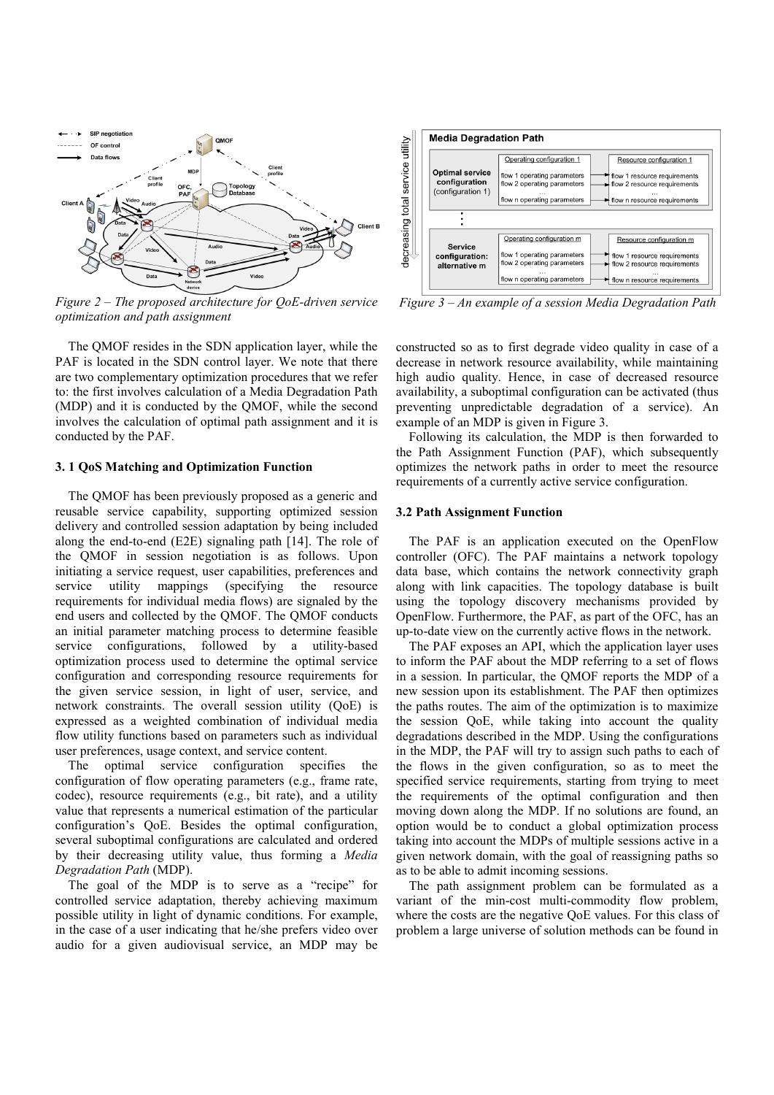

*Figure 2 – The proposed architecture for QoE-driven service optimization and path assignment* 

The QMOF resides in the SDN application layer, while the PAF is located in the SDN control layer. We note that there are two complementary optimization procedures that we refer to: the first involves calculation of a Media Degradation Path (MDP) and it is conducted by the QMOF, while the second involves the calculation of optimal path assignment and it is conducted by the PAF.

## **3. 1 QoS Matching and Optimization Function**

The QMOF has been previously proposed as a generic and reusable service capability, supporting optimized session delivery and controlled session adaptation by being included along the end-to-end (E2E) signaling path [14]. The role of the QMOF in session negotiation is as follows. Upon initiating a service request, user capabilities, preferences and service utility mappings (specifying the resource requirements for individual media flows) are signaled by the end users and collected by the QMOF. The QMOF conducts an initial parameter matching process to determine feasible service configurations, followed by a utility-based optimization process used to determine the optimal service configuration and corresponding resource requirements for the given service session, in light of user, service, and network constraints. The overall session utility (QoE) is expressed as a weighted combination of individual media flow utility functions based on parameters such as individual user preferences, usage context, and service content.

The optimal service configuration specifies the configuration of flow operating parameters (e.g., frame rate, codec), resource requirements (e.g., bit rate), and a utility value that represents a numerical estimation of the particular configuration's QoE. Besides the optimal configuration, several suboptimal configurations are calculated and ordered by their decreasing utility value, thus forming a *Media Degradation Path* (MDP).

The goal of the MDP is to serve as a "recipe" for controlled service adaptation, thereby achieving maximum possible utility in light of dynamic conditions. For example, in the case of a user indicating that he/she prefers video over audio for a given audiovisual service, an MDP may be



 *Figure 3 – An example of a session Media Degradation Path* 

constructed so as to first degrade video quality in case of a decrease in network resource availability, while maintaining high audio quality. Hence, in case of decreased resource availability, a suboptimal configuration can be activated (thus preventing unpredictable degradation of a service). An example of an MDP is given in Figure 3.

Following its calculation, the MDP is then forwarded to the Path Assignment Function (PAF), which subsequently optimizes the network paths in order to meet the resource requirements of a currently active service configuration.

#### **3.2 Path Assignment Function**

The PAF is an application executed on the OpenFlow controller (OFC). The PAF maintains a network topology data base, which contains the network connectivity graph along with link capacities. The topology database is built using the topology discovery mechanisms provided by OpenFlow. Furthermore, the PAF, as part of the OFC, has an up-to-date view on the currently active flows in the network.

The PAF exposes an API, which the application layer uses to inform the PAF about the MDP referring to a set of flows in a session. In particular, the QMOF reports the MDP of a new session upon its establishment. The PAF then optimizes the paths routes. The aim of the optimization is to maximize the session QoE, while taking into account the quality degradations described in the MDP. Using the configurations in the MDP, the PAF will try to assign such paths to each of the flows in the given configuration, so as to meet the specified service requirements, starting from trying to meet the requirements of the optimal configuration and then moving down along the MDP. If no solutions are found, an option would be to conduct a global optimization process taking into account the MDPs of multiple sessions active in a given network domain, with the goal of reassigning paths so as to be able to admit incoming sessions.

The path assignment problem can be formulated as a variant of the min-cost multi-commodity flow problem, where the costs are the negative QoE values. For this class of problem a large universe of solution methods can be found in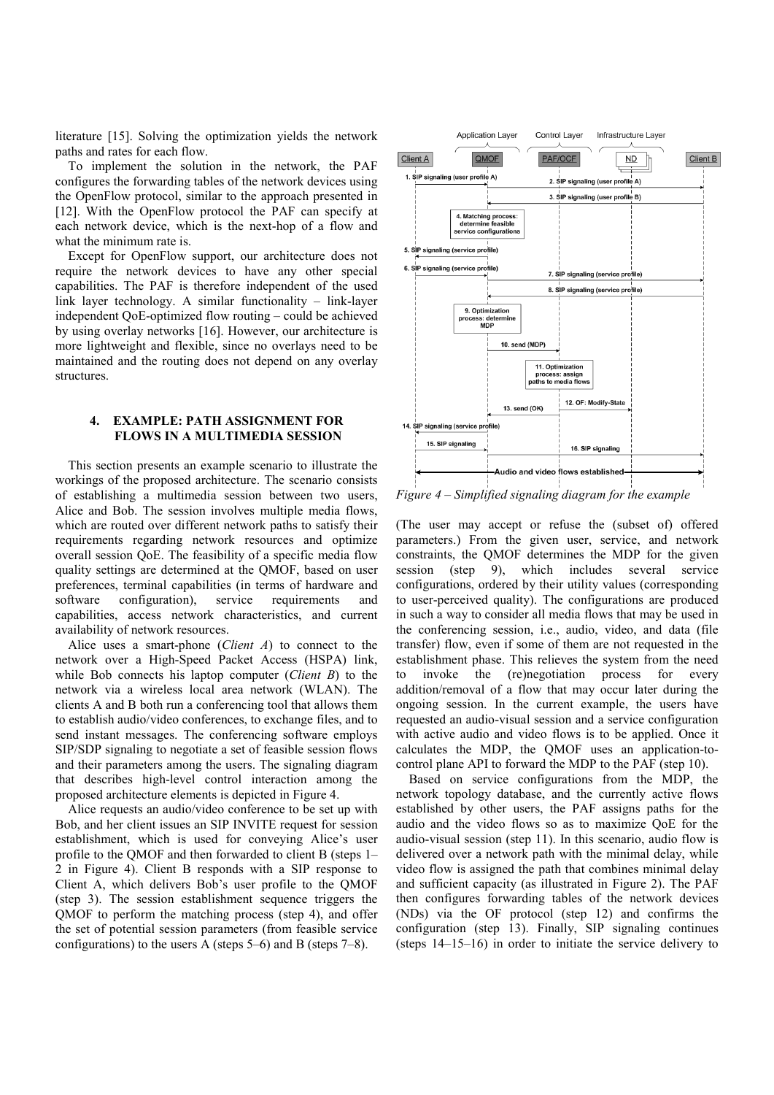literature [15]. Solving the optimization yields the network paths and rates for each flow.

To implement the solution in the network, the PAF configures the forwarding tables of the network devices using the OpenFlow protocol, similar to the approach presented in [12]. With the OpenFlow protocol the PAF can specify at each network device, which is the next-hop of a flow and what the minimum rate is.

Except for OpenFlow support, our architecture does not require the network devices to have any other special capabilities. The PAF is therefore independent of the used link layer technology. A similar functionality – link-layer independent QoE-optimized flow routing – could be achieved by using overlay networks [16]. However, our architecture is more lightweight and flexible, since no overlays need to be maintained and the routing does not depend on any overlay structures.

# **4. EXAMPLE: PATH ASSIGNMENT FOR FLOWS IN A MULTIMEDIA SESSION**

This section presents an example scenario to illustrate the workings of the proposed architecture. The scenario consists of establishing a multimedia session between two users, Alice and Bob. The session involves multiple media flows, which are routed over different network paths to satisfy their requirements regarding network resources and optimize overall session QoE. The feasibility of a specific media flow quality settings are determined at the QMOF, based on user preferences, terminal capabilities (in terms of hardware and software configuration), service requirements and capabilities, access network characteristics, and current availability of network resources.

Alice uses a smart-phone (*Client A*) to connect to the network over a High-Speed Packet Access (HSPA) link, while Bob connects his laptop computer (*Client B*) to the network via a wireless local area network (WLAN). The clients A and B both run a conferencing tool that allows them to establish audio/video conferences, to exchange files, and to send instant messages. The conferencing software employs SIP/SDP signaling to negotiate a set of feasible session flows and their parameters among the users. The signaling diagram that describes high-level control interaction among the proposed architecture elements is depicted in Figure 4.

Alice requests an audio/video conference to be set up with Bob, and her client issues an SIP INVITE request for session establishment, which is used for conveying Alice's user profile to the QMOF and then forwarded to client B (steps 1– 2 in Figure 4). Client B responds with a SIP response to Client A, which delivers Bob's user profile to the QMOF (step 3). The session establishment sequence triggers the QMOF to perform the matching process (step 4), and offer the set of potential session parameters (from feasible service configurations) to the users A (steps 5–6) and B (steps 7–8).



*Figure 4 – Simplified signaling diagram for the example* 

(The user may accept or refuse the (subset of) offered parameters.) From the given user, service, and network constraints, the QMOF determines the MDP for the given session (step 9), which includes several service configurations, ordered by their utility values (corresponding to user-perceived quality). The configurations are produced in such a way to consider all media flows that may be used in the conferencing session, i.e., audio, video, and data (file transfer) flow, even if some of them are not requested in the establishment phase. This relieves the system from the need to invoke the (re)negotiation process for every addition/removal of a flow that may occur later during the ongoing session. In the current example, the users have requested an audio-visual session and a service configuration with active audio and video flows is to be applied. Once it calculates the MDP, the QMOF uses an application-tocontrol plane API to forward the MDP to the PAF (step 10).

Based on service configurations from the MDP, the network topology database, and the currently active flows established by other users, the PAF assigns paths for the audio and the video flows so as to maximize QoE for the audio-visual session (step 11). In this scenario, audio flow is delivered over a network path with the minimal delay, while video flow is assigned the path that combines minimal delay and sufficient capacity (as illustrated in Figure 2). The PAF then configures forwarding tables of the network devices (NDs) via the OF protocol (step 12) and confirms the configuration (step 13). Finally, SIP signaling continues (steps 14–15–16) in order to initiate the service delivery to